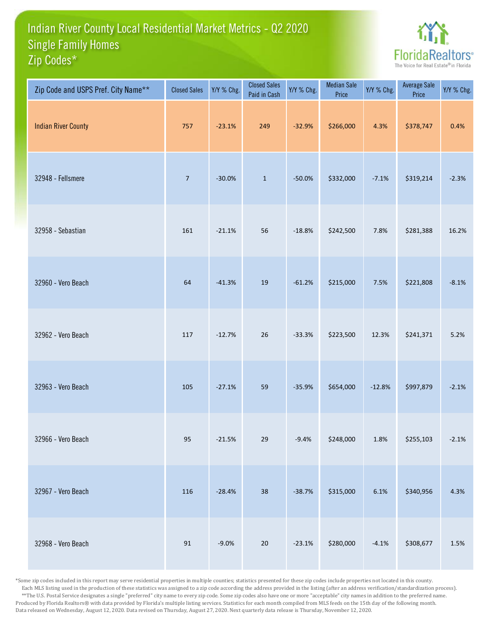## Indian River County Local Residential Market Metrics - Q2 2020 Zip Codes\* Single Family Homes



| Zip Code and USPS Pref. City Name** | <b>Closed Sales</b> | Y/Y % Chg. | <b>Closed Sales</b><br>Paid in Cash | Y/Y % Chg. | <b>Median Sale</b><br>Price | Y/Y % Chg. | <b>Average Sale</b><br>Price | Y/Y % Chg. |
|-------------------------------------|---------------------|------------|-------------------------------------|------------|-----------------------------|------------|------------------------------|------------|
| <b>Indian River County</b>          | 757                 | $-23.1%$   | 249                                 | $-32.9%$   | \$266,000                   | 4.3%       | \$378,747                    | 0.4%       |
| 32948 - Fellsmere                   | $\overline{7}$      | $-30.0%$   | $\mathbf 1$                         | $-50.0%$   | \$332,000                   | $-7.1%$    | \$319,214                    | $-2.3%$    |
| 32958 - Sebastian                   | 161                 | $-21.1%$   | 56                                  | $-18.8%$   | \$242,500                   | 7.8%       | \$281,388                    | 16.2%      |
| 32960 - Vero Beach                  | 64                  | $-41.3%$   | 19                                  | $-61.2%$   | \$215,000                   | 7.5%       | \$221,808                    | $-8.1%$    |
| 32962 - Vero Beach                  | 117                 | $-12.7%$   | 26                                  | $-33.3%$   | \$223,500                   | 12.3%      | \$241,371                    | 5.2%       |
| 32963 - Vero Beach                  | 105                 | $-27.1%$   | 59                                  | $-35.9%$   | \$654,000                   | $-12.8%$   | \$997,879                    | $-2.1%$    |
| 32966 - Vero Beach                  | 95                  | $-21.5%$   | 29                                  | $-9.4%$    | \$248,000                   | 1.8%       | \$255,103                    | $-2.1%$    |
| 32967 - Vero Beach                  | 116                 | $-28.4%$   | 38                                  | $-38.7%$   | \$315,000                   | 6.1%       | \$340,956                    | 4.3%       |
| 32968 - Vero Beach                  | $91\,$              | $-9.0%$    | $20\,$                              | $-23.1%$   | \$280,000                   | $-4.1%$    | \$308,677                    | 1.5%       |

\*Some zip codes included in this report may serve residential properties in multiple counties; statistics presented for these zip codes include properties not located in this county. Each MLS listing used in the production of these statistics was assigned to a zip code according the address provided in the listing (after an address verification/standardization process). \*\*The U.S. Postal Service designates a single "preferred" city name to every zip code. Some zip codes also have one or more "acceptable" city names in addition to the preferred name. Produced by Florida Realtors® with data provided by Florida's multiple listing services. Statistics for each month compiled from MLS feeds on the 15th day of the following month. Data released on Wednesday, August 12, 2020. Data revised on Thursday, August 27, 2020. Next quarterly data release is Thursday, November 12, 2020.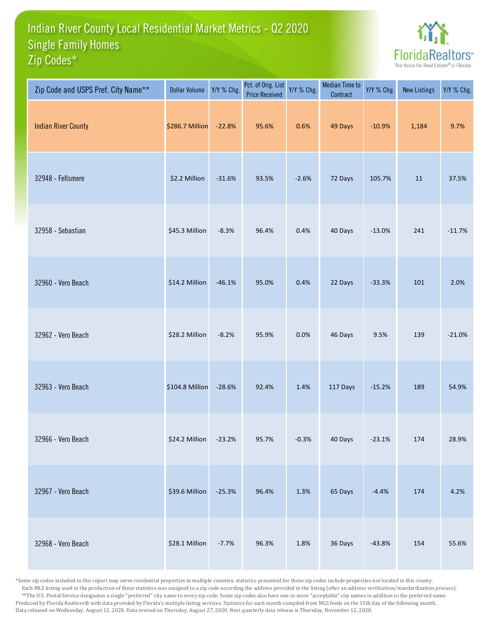## Indian River County Local Residential Market Metrics - Q2 2020 Zip Codes\* Single Family Homes



| Zip Code and USPS Pref. City Name** | <b>Dollar Volume</b> | Y/Y % Chg. | Pct. of Orig. List<br><b>Price Received</b> | Y/Y % Chg. | <b>Median Time to</b><br>Contract | Y/Y % Chg. | <b>New Listings</b> | Y/Y % Chg. |
|-------------------------------------|----------------------|------------|---------------------------------------------|------------|-----------------------------------|------------|---------------------|------------|
| <b>Indian River County</b>          | \$286.7 Million      | $-22.8%$   | 95.6%                                       | 0.6%       | 49 Days                           | $-10.9%$   | 1,184               | 9.7%       |
| 32948 - Fellsmere                   | \$2.2 Million        | $-31.6%$   | 93.5%                                       | $-2.6%$    | 72 Days                           | 105.7%     | $11\,$              | 37.5%      |
| 32958 - Sebastian                   | \$45.3 Million       | $-8.3%$    | 96.4%                                       | 0.4%       | 40 Days                           | $-13.0%$   | 241                 | $-11.7%$   |
| 32960 - Vero Beach                  | \$14.2 Million       | $-46.1%$   | 95.0%                                       | 0.4%       | 22 Days                           | $-33.3%$   | 101                 | 2.0%       |
| 32962 - Vero Beach                  | \$28.2 Million       | $-8.2%$    | 95.9%                                       | 0.0%       | 46 Days                           | 9.5%       | 139                 | $-21.0%$   |
| 32963 - Vero Beach                  | \$104.8 Million      | $-28.6%$   | 92.4%                                       | 1.4%       | 117 Days                          | $-15.2%$   | 189                 | 54.9%      |
| 32966 - Vero Beach                  | \$24.2 Million       | $-23.2%$   | 95.7%                                       | $-0.3%$    | 40 Days                           | $-23.1%$   | 174                 | 28.9%      |
| 32967 - Vero Beach                  | \$39.6 Million       | $-25.3%$   | 96.4%                                       | 1.3%       | 65 Days                           | $-4.4%$    | 174                 | 4.2%       |
| 32968 - Vero Beach                  | \$28.1 Million       | $-7.7%$    | 96.3%                                       | 1.8%       | 36 Days                           | $-43.8%$   | 154                 | 55.6%      |

\*Some zip codes included in this report may serve residential properties in multiple counties; statistics presented for these zip codes include properties not located in this county. Each MLS listing used in the production of these statistics was assigned to a zip code according the address provided in the listing (after an address verification/standardization process). \*\*The U.S. Postal Service designates a single "preferred" city name to every zip code. Some zip codes also have one or more "acceptable" city names in addition to the preferred name. Produced by Florida Realtors® with data provided by Florida's multiple listing services. Statistics for each month compiled from MLS feeds on the 15th day of the following month. Data released on Wednesday, August 12, 2020. Data revised on Thursday, August 27, 2020. Next quarterly data release is Thursday, November 12, 2020.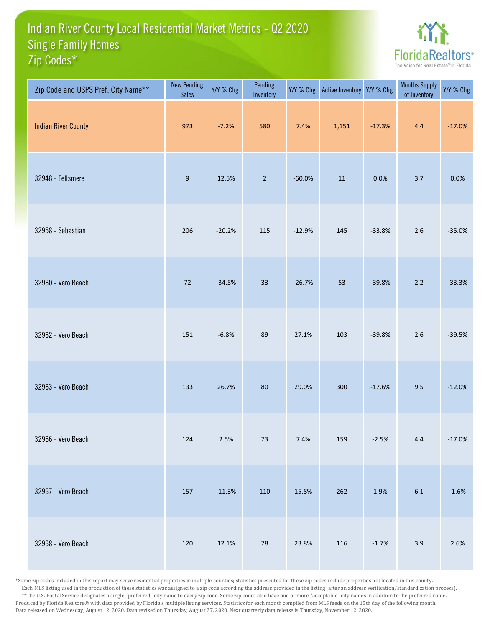## Indian River County Local Residential Market Metrics - Q2 2020 Zip Codes\* Single Family Homes



| Zip Code and USPS Pref. City Name** | <b>New Pending</b><br><b>Sales</b> | Y/Y % Chg. | Pending<br>Inventory | Y/Y % Chg. | <b>Active Inventory</b> | Y/Y % Chg. | <b>Months Supply</b><br>of Inventory | Y/Y % Chg. |
|-------------------------------------|------------------------------------|------------|----------------------|------------|-------------------------|------------|--------------------------------------|------------|
| <b>Indian River County</b>          | 973                                | $-7.2%$    | 580                  | 7.4%       | 1,151                   | $-17.3%$   | 4.4                                  | $-17.0%$   |
| 32948 - Fellsmere                   | $\boldsymbol{9}$                   | 12.5%      | $\overline{2}$       | $-60.0%$   | $11\,$                  | 0.0%       | 3.7                                  | 0.0%       |
| 32958 - Sebastian                   | 206                                | $-20.2%$   | 115                  | $-12.9%$   | 145                     | $-33.8%$   | $2.6$                                | $-35.0%$   |
| 32960 - Vero Beach                  | 72                                 | $-34.5%$   | 33                   | $-26.7%$   | 53                      | $-39.8%$   | $2.2$                                | $-33.3%$   |
| 32962 - Vero Beach                  | 151                                | $-6.8%$    | 89                   | 27.1%      | 103                     | $-39.8%$   | $2.6\,$                              | $-39.5%$   |
| 32963 - Vero Beach                  | 133                                | 26.7%      | 80                   | 29.0%      | 300                     | $-17.6%$   | 9.5                                  | $-12.0%$   |
| 32966 - Vero Beach                  | 124                                | 2.5%       | $73\,$               | 7.4%       | 159                     | $-2.5%$    | $4.4\,$                              | $-17.0%$   |
| 32967 - Vero Beach                  | 157                                | $-11.3%$   | 110                  | 15.8%      | 262                     | 1.9%       | $6.1\,$                              | $-1.6%$    |
| 32968 - Vero Beach                  | 120                                | 12.1%      | ${\bf 78}$           | 23.8%      | 116                     | $-1.7%$    | 3.9                                  | 2.6%       |

\*Some zip codes included in this report may serve residential properties in multiple counties; statistics presented for these zip codes include properties not located in this county. Each MLS listing used in the production of these statistics was assigned to a zip code according the address provided in the listing (after an address verification/standardization process). \*\*The U.S. Postal Service designates a single "preferred" city name to every zip code. Some zip codes also have one or more "acceptable" city names in addition to the preferred name. Produced by Florida Realtors® with data provided by Florida's multiple listing services. Statistics for each month compiled from MLS feeds on the 15th day of the following month. Data released on Wednesday, August 12, 2020. Data revised on Thursday, August 27, 2020. Next quarterly data release is Thursday, November 12, 2020.